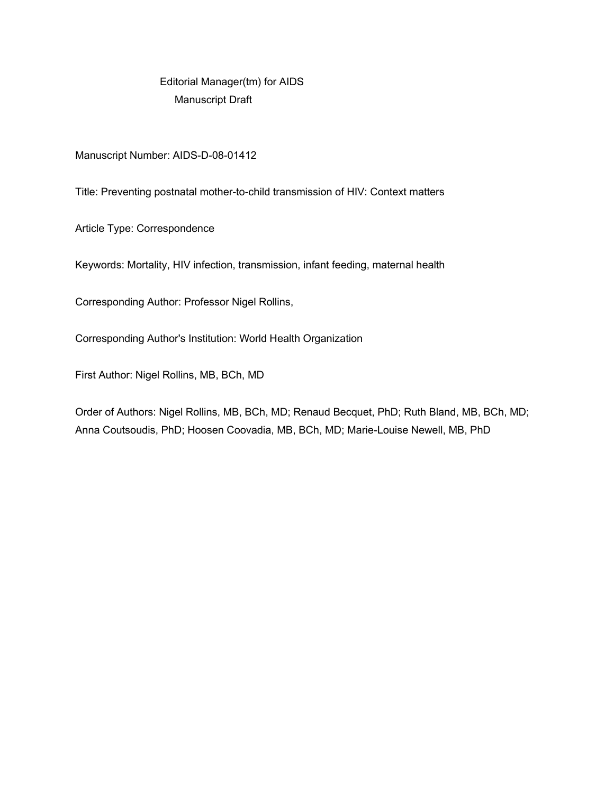Editorial Manager(tm) for AIDS Manuscript Draft

Manuscript Number: AIDS-D-08-01412

Title: Preventing postnatal mother-to-child transmission of HIV: Context matters

Article Type: Correspondence

Keywords: Mortality, HIV infection, transmission, infant feeding, maternal health

Corresponding Author: Professor Nigel Rollins,

Corresponding Author's Institution: World Health Organization

First Author: Nigel Rollins, MB, BCh, MD

Order of Authors: Nigel Rollins, MB, BCh, MD; Renaud Becquet, PhD; Ruth Bland, MB, BCh, MD; Anna Coutsoudis, PhD; Hoosen Coovadia, MB, BCh, MD; Marie-Louise Newell, MB, PhD